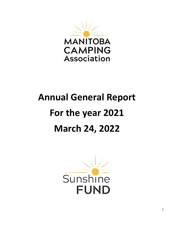

# **Annual General Report For the year 2021 March 24, 2022**

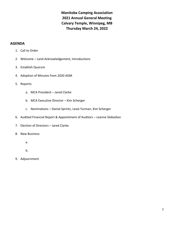**Manitoba Camping Association 2021 Annual General Meeting Calvary Temple, Winnipeg, MB Thursday March 24, 2022**

## **AGENDA**

- 1. Call to Order
- 2. Welcome Land Acknowledgement, Introductions
- 3. Establish Quorum
- 4. Adoption of Minutes from 2020 AGM
- 5. Reports:
	- a. MCA President Jared Clarke
	- b. MCA Executive Director Kim Scherger
	- c. Nominations Danial Sprintz, Lexie Yurman, Kim Scherger
- 6. Audited Financial Report & Appointment of Auditors Leanne Slobodian
- 7. Election of Directors Jared Clarke
- 8. New Business
	- a.

b.

9. Adjournment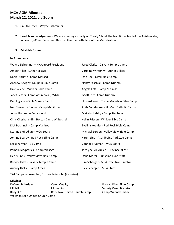# **MCA AGM Minutes March 22, 2021, via Zoom**

- **1. Call to Order** Wayne Eisbrenner
- **2. Land Acknowledgement** We are meeting virtually on Treaty 1 land, the traditional land of the Anishinaabe, Ininew, Oji-Cree, Dene, and Dakota. Also the birthplace of the Métis Nation.

#### **3. Establish forum**

#### **In Attendance:**

| Wayne Eisbrenner - MCA Board President     | Jared Clarke - Calvary Temple Camp        |
|--------------------------------------------|-------------------------------------------|
| Amber Allen - Luther Village               | Caroline Wintoniw - Luther Village        |
| Danial Sprintz - Camp Massad               | Don Roe - Gimli Bible Camp                |
| Andrew Sevigny -Dauphin Bible Camp         | Nancy Paschke - Camp Nutimik              |
| Dale Wiebe - Winkler Bible Camp            | Angela Lott - Camp Nutimik                |
| Janet Peters - Camp Assiniboia (CWM)       | Geoff Lott - Camp Nutimik                 |
| Dan Ingram - Circle Square Ranch           | Howard Weir - Turtle Mountain Bible Camp  |
| Neil Steward - Pioneer Camp Manitoba       | Anita Vander Aw - St. Malo Catholic Camps |
| Jenna Brauner - Cedarwood                  | Mat Klachefsky - Camp Stephens            |
| Chris Chesham - Tim Horton Camp Whiteshell | Kellin Friesen - Winkler Bible Camp       |
| Rick Bochinski - Camp Manitou              | Evelina Koehler - Red Rock Bible Camp     |
| Leanne Slobodian - MCA Board               | Michael Bergen - Valley View Bible Camp   |
| Johnny Beardy - Red Rock Bible Camp        | Karen Lind - Assiniboine Park Zoo Camp    |
| Lexie Yurman - BB Camp                     | Connor Trueman - MCA Board                |
| Pamela Kirkpatrick - Camp Wasaga           | Jocelyne McMullen - Province of MB        |
| Henry Enns - Valley View Bible Camp        | Dana Moroz - Sunshine Fund Staff          |
| Becky Clarke - Calvary Temple Camp         | Kim Scherger - MCA Executive Director     |
| Audrey Hicks - Camp Arnes                  | Rick Scherger - MCA Staff                 |
|                                            |                                           |

\*24 Camps represented, 36 people in total (inclusive)

#### **Missing:**

D-Camp Briardale **Camp Quality** Camp Quality Roseau River Bible Camp Mini-U Momenta Momenta Variety Camp Brereton Rady JCC **Rock Lake United Church Camp** Camp Wannakumbac Wellman Lake United Church Camp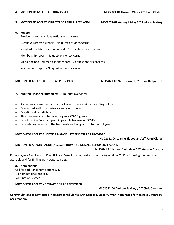#### **5. MOTION TO ACCEPT MINUTES OF APRIL 7, 2020 AGM. MSC2021-02 Audrey Hicks/ 2nd Andrew Sevigny**

#### **6. Reports**

President's report - No questions or concerns Executive Director's report - No questions or concerns Standards and Accreditation report - No questions or concerns Membership report - No questions or concerns Marketing and Communications report - No questions or concerns Nominations report - No questions or concerns

**MOTION TO ACCEPT REPORTS AS PROVIDED.** MSC2021-03 Neil Steward / 2<sup>nd</sup> Pam Kirkpatrick

#### **7. Audited Financial Statements** - Kim (brief overview)

- Statements presented fairly and all in accordance with accounting policies
- Year ended well considering so many unknowns
- Donations down slightly
- Able to access a number of emergency COVID grants
- Less Sunshine Fund campership payouts because of COVID
- Less salaries because of the two positions being laid off for part of year

#### **MOTION TO ACCEPT AUDITED FINANCIAL STATEMENTS AS PROVIDED.**

 **MSC2021-04 Leanne Slobodian / 2nd Jared Clarke**

#### **MOTION TO APPOINT AUDITORS, SCARROW AND DONALD LLP for 2021 AUDIT.**

 **MSC2021-05 Leanne Slobodian / 2nd Andrew Sevigny**

From Wayne - Thank you to Kim, Rick and Dana for your hard work in this trying time. To Kim for using the resources available and for finding grant opportunities.

#### **8. Nominations**

Call for additional nominations X 3. No nominations received. Nominations closed.

#### **MOTION TO ACCEPT NOMINATIONS AS PRESENTED.**

 **MSC2021-06 Andrew Sevigny / 2nd Chris Chesham**

**Congratulations to new Board Members Jared Clarke, Erin Kangas & Lexie Yurman, nominated for the next 3 years by acclamation.**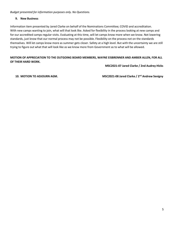*Budget presented for information purposes only. No Questions.*

### **9. New Business**

Information item presented by Jared Clarke on behalf of the Nominations Committee; COVID and accreditation. With new camps wanting to join, what will that look like. Asked for flexibility in the process looking at new camps and for our accredited camps regular visits. Evaluating at this time, will let camps know more when we know. Not lowering standards, just know that our normal process may not be possible. Flexibility on the process not on the standards themselves. Will let camps know more as summer gets closer. Safety at a high level. But with the uncertainty we are still trying to figure out what that will look like as we know more from Government as to what will be allowed.

## **MOTION OF APPRECIATION TO THE OUTGOING BOARD MEMBERS, WAYNE EISBRENNER AND AMBER ALLEN, FOR ALL OF THEIR HARD WORK.**

 **MSC2021-07 Jared Clarke / 2nd Audrey Hicks**

10. **MOTION TO ADJOURN AGM.** MSC2021-08 Jared Clarke / 2<sup>nd</sup> Andrew Sevigny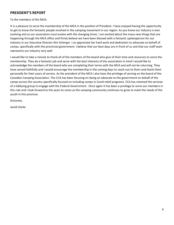# **PRESIDENT'S REPORT**

To the members of the MCA:

It is a pleasure to serve the membership of the MCA in the position of President. I have enjoyed having the opportunity to get to know the fantastic people involved in the camping movement in our region. As you know our industry is ever evolving and so our association must evolve with the changing times. I am excited about the many new things that are happening through the MCA office and firmly believe we have been blessed with a fantastic spokesperson for our industry in our Executive Director Kim Scherger. I so appreciate her hard work and dedication to advocate on behalf of camps, specifically with the provincial government. I believe that our best days are in front of us and that our staff team represents our industry very well.

I would like to take a minute to thank all of the members of the board who give of their time and resources to serve the membership. They do a fantastic job and serve with the best interests of the association in mind I would like to acknowledge the members of the board who are completing their terms with the MCA and will not be returning. They have served faithfully and I would encourage the membership in the coming days to reach out to them and thank them personally for their years of service. As the president of the MCA I also have the privilege of serving on the board of the Canadian Camping Association. The CCA has been focusing on being an advocate to the government on behalf of the camps across the country specifically focused on including camps in Covid relief programs. CCA has retained the services of a lobbying group to engage with the Federal Government. Once again it has been a privilege to serve our members in this role and I look forward to the years to come as the camping community continues to grow to meet the needs of the youth in this province.

Sincerely,

Jared Clarke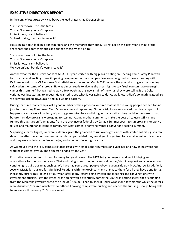# **EXECUTIVE DIRECTOR'S REPORT**

In the song *Photograph* by Nickelback, the lead singer Chad Kroeger sings:

"I miss that town, I miss the faces You can't erase, you can't replace it I miss it now, I can't believe it So hard to stay, too hard to leave it"

He's singing about looking at photographs and the memories they bring. As I reflect on this past year, I think of the snapshots and zoom memories and change those lyrics a bit to:

"I miss our camps, I miss the faces You can't erase, you can't replace it I miss it now, I can't believe it We couldn't go, but don't wanna leave it"

Another year for the history books at MCA. Our year started with big plans creating an Opening Camp Safely Plan with two doctors and waiting to see if opening camp would actually happen. We were delighted to have a meeting with Dr Roussin, set up by MLA Andrew Micklefield, near the end of March 2021, where the good doctor gave our opening safely plan the stamp of approval. He was almost ready to give us the green light to say "Yes! You can have overnight camps this summer" but wanted to wait a few weeks as this new strain of the virus, they were calling it the Delta variant, was just starting to appear. He wanted to see what it was going to do. As we know it didn't do anything good, so we all were locked down again and in a waiting pattern.

During that time many camps lost a good number of their potential or hired staff as those young people needed to find jobs for the spring & summer. Camp's leaders were disappearing. On June 24, it was announced that day camps could happen so camps were in a flurry of putting plans into place and hiring as many staff as they could in the week or two before their day programs were going to start up. Again, another summer to make the best of, to use staff – many funded through Green Team grants from the province or federally by Canada Summer Jobs - to run programs or work on fix ups and maintenance items at camps. Not what camps, or anyone wanted *again*, for a second summer.

Surprisingly, early August, we were suddenly given the go-ahead to run overnight camps with limited cohorts, just a few days from after the announcement. A couple camps decided they could get it organized for a small number of campers and they were able to experience the joy and wonder of overnight camps.

As we moved into the Fall, camps still faced issues with small cohort numbers and vaccines and how things were not working in camps' favour. Then omicron ended off the year.

Frustration was a common thread for many for good reason. The MCA felt your anguish and kept lobbying and advocating – for the past two years. That and trying to surround our camps directors/staff in support and conversation, continuing to build our relationships. We have had some great people lobbying alongside us – MLA Andrew Micklefield, Jocelyn McMullen our rep for Municipal Relations with the Province; many thanks to them for all they have done for us. Pleasantly surprisingly, to end off our year, after many letters being written and meetings and conversations with government officials, I got the letter I was hoping would eventually come: the MCA was getting sector specific funding from the Manitoba government to the tune of \$750,000. I had to keep it under wraps for a few months while the details were discussed/finalized which was so difficult knowing camps were hurting and needed the funding. Finally, being able to announce this in early 2022 was a relief.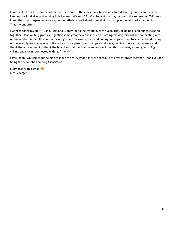I am thankful to all the donors of the Sunshine Fund – the individuals, businesses, foundations, grantors, funders for keeping our fund alive and sending kids to camp. We sent 141 Manitoba kids to day camps in the summer of 2021; much lower than our pre-pandemic years, but nonetheless, we helped to send kids to camp in the midst of a pandemic. That is wonderful.

I want to thank my staff – Dana, Rick, and Sydney for all their work over the year. They all helped keep our association together: Dana writing grants and getting some great new ones to keep us going/moving forward and connecting with our incredible donors; Rick communicating whatever was needed and finding some good news to share in the dark days of the year; Sydney being one of the voices to our parents and camps and donors, helping to organize, reassure and thank them. I also want to thank the board for their dedication and support over this past year; zooming, emailing, calling, and staying connected with me/ the MCA.

Lastly, thank you camps for helping to make the MCA what it is as we continue to grow stronger together. Thank you for being the Manitoba Camping Association.

Submitted with a smile  $\bullet$ Kim Scherger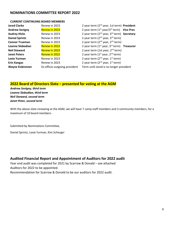# **NOMINATIONS COMMITTEE REPORT 2022**

#### **CURRENT CONTINUING BOARD MEMBERS**

| <b>Jared Clarke</b>     | Renew in 2023                 | 2 year term (2 <sup>nd</sup> year, 1st term) President             |
|-------------------------|-------------------------------|--------------------------------------------------------------------|
| <b>Andrew Sevigny</b>   | Renew in 2022                 | 2 year term $(1^{st}$ year/3 <sup>rd</sup> term) Vice Pres         |
| <b>Audrey Hicks</b>     | Renew in 2023                 | 2 year term (2 <sup>nd</sup> year, 3 <sup>rd</sup> term) Secretary |
| <b>Danial Sprintz</b>   | Renew in 2023                 | 2 year term ( $2^{nd}$ year, $3^{rd}$ term)                        |
| <b>Connor Trueman</b>   | Renew in 2023                 | 2 year term ( $2^{nd}$ year, $2^{nd}$ term)                        |
| Leanne Slobodian        | Renew in 2022                 | 2 year term $(1^{st}$ year, $3^{rd}$ term) Treasurer               |
| <b>Neil Steward</b>     | Renew in 2022                 | 2 year term (1st year, $2^{nd}$ term)                              |
| <b>Janet Peters</b>     | Renew in 2022                 | 2 year term $(1^{st}$ year, $2^{nd}$ term)                         |
| <b>Lexie Yurman</b>     | Renew in 2023                 | 2 year term ( $2^{nd}$ year, $1^{st}$ term)                        |
| <b>Erin Kangas</b>      | Renew in 2023                 | 2 year term ( $2^{nd}$ year, $1^{st}$ term)                        |
| <b>Wayne Eisbrenner</b> | Ex-officio outgoing president | Term until Jared is no longer president                            |

# **2022 Board of Directors Slate – presented for voting at the AGM**

*Andrew Sevigny, third term Leanne Slobodian, third term Neil Steward, second term Janet Peter, second term*

With the above slate renewing at the AGM, we will have 7 camp staff members and 3 community members, for a maximum of 10 board members.

Submitted by Nominations Committee,

Danial Sprintz, Lexie Yurman, Kim Scherger

# **Audited Financial Report and Appointment of Auditors for 2022 audit**

Year end audit was completed for 2021 by Scarrow & Donald – see attached Auditors for 2022 to be appointed. Recommendation for Scarrow & Donald to be our auditors for 2022 audit.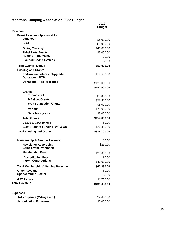### **Manitoba Camping Association 2022 Budget**

|                                                               | 2022<br><b>Budget</b> |
|---------------------------------------------------------------|-----------------------|
| Revenue                                                       |                       |
| <b>Event Revenue (Sponsorship)</b>                            |                       |
| Luncheon                                                      | \$8,000.00            |
| <b>BBQ</b>                                                    | \$1,000.00            |
| <b>Giving Tuesday</b>                                         | \$40,000.00           |
| <b>Third Party Events</b>                                     | \$8,000.00            |
| <b>Rumble In the Valley</b><br><b>Planned Giving Evening</b>  | \$0.00                |
|                                                               | \$0.00                |
| <b>Total Event Revenue</b>                                    | \$57,000.00           |
| <b>Funding and Grants</b>                                     |                       |
| <b>Endowment Interest (Wpg Fdn)</b><br><b>Donations - NTR</b> | \$17,500.00           |
| <b>Donations - Tax Receipted</b>                              | \$125,000.00          |
|                                                               | \$142,500.00          |
| <b>Grants</b>                                                 |                       |
| <b>Thomas Sill</b>                                            | \$5,000.00            |
| <b>MB Govt Grants</b>                                         | \$58,800.00           |
| <b>Wpg Foundation Grants</b>                                  | \$8,000.00            |
| <b>Various</b>                                                | \$75,000.00           |
| <b>Salaries - grants</b>                                      | \$8,000.00            |
| <b>Total Grants</b>                                           | \$154,800.00          |
| <b>CEWS &amp; Govt relief \$</b>                              | \$0.00                |
| <b>COVID Emerg Funding -WF &amp; An</b>                       | \$22,400.00           |
| <b>Total Funding and Grants</b>                               | \$376,700.00          |
| <b>Membership &amp; Service Revenue</b>                       | \$0.00                |
| <b>Newsletter Advertising</b><br><b>Camp Event Promotion</b>  | \$250.00              |
| <b>Membership Fees</b>                                        | \$20,000.00           |
| <b>Accreditation Fees</b>                                     | \$0.00                |
| <b>Parent Contributions</b>                                   | \$40,000.00           |
| <b>Total Membership &amp; Service Revenue</b>                 | \$60,250.00           |
| <b>Other Revenue</b>                                          | \$0.00                |
| <b>Sponsorships - Other</b>                                   | \$0.00                |
| <b>GST Rebate</b>                                             | \$1,700.00            |
| <b>Total Revenue</b>                                          | \$438,650.00          |
| <b>Expenses</b>                                               |                       |
| Auto Expense (Mileage etc.)                                   | \$2,600.00            |
| <b>Accreditation Expenses</b>                                 | \$2,000.00            |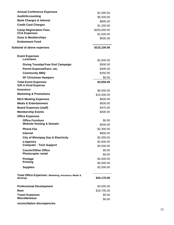| <b>Annual Conference Expenses</b>                                       | \$1,000.00   |
|-------------------------------------------------------------------------|--------------|
| <b>Audit/Accounting</b>                                                 | \$5,500.00   |
| <b>Bank Charges &amp; Interest</b>                                      | \$800.00     |
| <b>Credit Card Charges</b>                                              | \$1,200.00   |
| <b>Camp Registration Fees</b>                                           | \$200,000.00 |
| <b>CCA Expenses</b>                                                     | \$1,500.00   |
| <b>Dues &amp; Memberships</b>                                           | \$500.00     |
| <b>Endowment Fund</b>                                                   |              |
| <b>Subtotal of above expenses</b>                                       | \$215,100.00 |
| <b>Event Expenses</b><br>Luncheon                                       | \$2,500.00   |
| <b>Giving Tuesday/Year End Campaign</b>                                 | \$500.00     |
| Permit Expense/Fairs, etc.                                              | \$300.00     |
| <b>Community BBQ</b>                                                    | \$250.00     |
| <b>SF Christmas Hampers</b>                                             | \$0.00       |
| <b>Total Event Expenses</b>                                             | \$3,550.00   |
| <b>Gift in Kind Expense</b>                                             |              |
| <b>Insurance</b>                                                        | \$6,000.00   |
| <b>Marketing &amp; Promotions</b>                                       | \$15,000.00  |
| <b>MCA Meeting Expenses</b>                                             | \$600.00     |
| <b>Meals &amp; Entertainment</b>                                        | \$500.00     |
| <b>Board Expenses (staff)</b>                                           | \$475.00     |
| <b>Membership Events</b>                                                | \$400.00     |
| <b>Office Expenses</b>                                                  |              |
| <b>Office Furniture</b>                                                 | \$0.00       |
| <b>Website Hosting &amp; Domain</b>                                     | \$500.00     |
| <b>Phone-Fax</b>                                                        | \$2,300.00   |
| <b>Internet</b>                                                         | \$800.00     |
| <b>City of Winnipeg Gas &amp; Electricity</b>                           | \$2,000.00   |
| e-tapestry                                                              | \$2,600.00   |
| <b>Computer - Tech Support</b>                                          | \$3,500.00   |
| <b>Courier/Other Office</b>                                             | \$0.00       |
| <b>Photocopier rental</b>                                               | \$0.00       |
| <b>Postage</b>                                                          | \$2,000.00   |
| <b>Printing</b>                                                         | \$5,000.00   |
| <b>Supplies</b>                                                         | \$2,500.00   |
| Total Office Expenses: Marketing, Insurance, Meals &<br><b>Meetings</b> | \$44,175.00  |
| <b>Professional Development</b>                                         | \$3,000.00   |
| Rent                                                                    | \$18,700.00  |
| <b>Travel Expenses</b>                                                  | \$0.00       |
| <b>Miscellaneous</b>                                                    | \$0.00       |
| reconciliation discrepencies                                            |              |